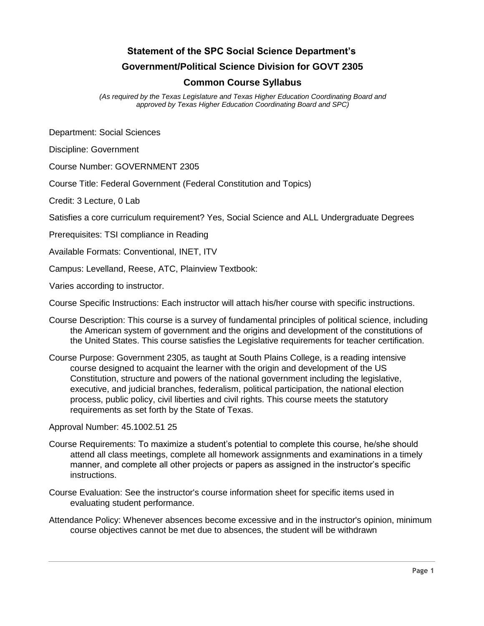# **Statement of the SPC Social Science Department's Government/Political Science Division for GOVT 2305**

## **Common Course Syllabus**

*(As required by the Texas Legislature and Texas Higher Education Coordinating Board and approved by Texas Higher Education Coordinating Board and SPC)* 

Department: Social Sciences

Discipline: Government

Course Number: GOVERNMENT 2305

Course Title: Federal Government (Federal Constitution and Topics)

Credit: 3 Lecture, 0 Lab

Satisfies a core curriculum requirement? Yes, Social Science and ALL Undergraduate Degrees

Prerequisites: TSI compliance in Reading

Available Formats: Conventional, INET, ITV

Campus: Levelland, Reese, ATC, Plainview Textbook:

Varies according to instructor.

Course Specific Instructions: Each instructor will attach his/her course with specific instructions.

- Course Description: This course is a survey of fundamental principles of political science, including the American system of government and the origins and development of the constitutions of the United States. This course satisfies the Legislative requirements for teacher certification.
- Course Purpose: Government 2305, as taught at South Plains College, is a reading intensive course designed to acquaint the learner with the origin and development of the US Constitution, structure and powers of the national government including the legislative, executive, and judicial branches, federalism, political participation, the national election process, public policy, civil liberties and civil rights. This course meets the statutory requirements as set forth by the State of Texas.

Approval Number: 45.1002.51 25

- Course Requirements: To maximize a student's potential to complete this course, he/she should attend all class meetings, complete all homework assignments and examinations in a timely manner, and complete all other projects or papers as assigned in the instructor's specific instructions.
- Course Evaluation: See the instructor's course information sheet for specific items used in evaluating student performance.
- Attendance Policy: Whenever absences become excessive and in the instructor's opinion, minimum course objectives cannot be met due to absences, the student will be withdrawn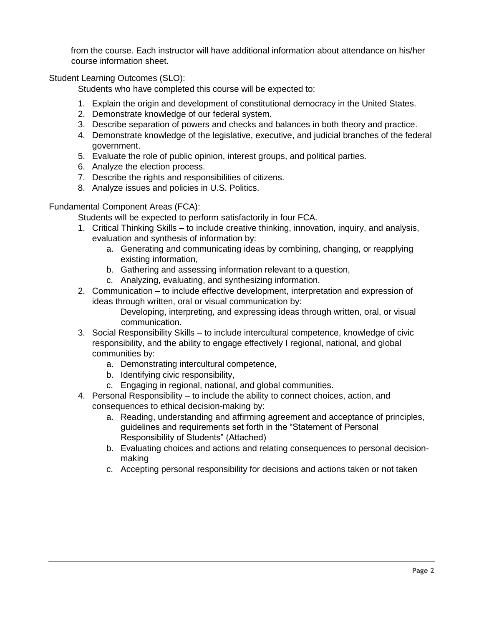from the course. Each instructor will have additional information about attendance on his/her course information sheet.

Student Learning Outcomes (SLO):

Students who have completed this course will be expected to:

- 1. Explain the origin and development of constitutional democracy in the United States.
- 2. Demonstrate knowledge of our federal system.
- 3. Describe separation of powers and checks and balances in both theory and practice.
- 4. Demonstrate knowledge of the legislative, executive, and judicial branches of the federal government.
- 5. Evaluate the role of public opinion, interest groups, and political parties.
- 6. Analyze the election process.
- 7. Describe the rights and responsibilities of citizens.
- 8. Analyze issues and policies in U.S. Politics.

Fundamental Component Areas (FCA):

Students will be expected to perform satisfactorily in four FCA.

- 1. Critical Thinking Skills to include creative thinking, innovation, inquiry, and analysis, evaluation and synthesis of information by:
	- a. Generating and communicating ideas by combining, changing, or reapplying existing information,
	- b. Gathering and assessing information relevant to a question,
	- c. Analyzing, evaluating, and synthesizing information.
- 2. Communication to include effective development, interpretation and expression of ideas through written, oral or visual communication by:

Developing, interpreting, and expressing ideas through written, oral, or visual communication.

- 3. Social Responsibility Skills to include intercultural competence, knowledge of civic responsibility, and the ability to engage effectively I regional, national, and global communities by:
	- a. Demonstrating intercultural competence,
	- b. Identifying civic responsibility,
	- c. Engaging in regional, national, and global communities.
- 4. Personal Responsibility to include the ability to connect choices, action, and consequences to ethical decision-making by:
	- a. Reading, understanding and affirming agreement and acceptance of principles, guidelines and requirements set forth in the "Statement of Personal Responsibility of Students" (Attached)
	- b. Evaluating choices and actions and relating consequences to personal decisionmaking
	- c. Accepting personal responsibility for decisions and actions taken or not taken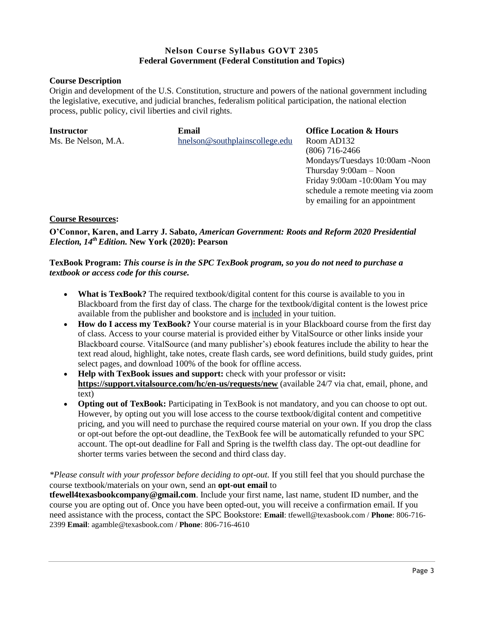### **Nelson Course Syllabus GOVT 2305 Federal Government (Federal Constitution and Topics)**

#### **Course Description**

Origin and development of the U.S. Constitution, structure and powers of the national government including the legislative, executive, and judicial branches, federalism political participation, the national election process, public policy, civil liberties and civil rights.

| <b>Instructor</b>   | Email                          | <b>Office Location &amp; Hours</b> |
|---------------------|--------------------------------|------------------------------------|
| Ms. Be Nelson, M.A. | hnelson@southplainscollege.edu | Room AD132                         |
|                     |                                | $(806)$ 716-2466                   |
|                     |                                | Mondays/Tuesdays 10:00am -Noon     |
|                     |                                | Thursday $9:00am - Noon$           |
|                     |                                | Friday 9:00am -10:00am You may     |
|                     |                                | schedule a remote meeting via zoom |
|                     |                                | by emailing for an appointment     |
|                     |                                |                                    |

#### **Course Resources:**

**O'Connor, Karen, and Larry J. Sabato,** *American Government: Roots and Reform 2020 Presidential Election, 14th Edition.* **New York (2020): Pearson**

#### **TexBook Program:** *This course is in the SPC TexBook program, so you do not need to purchase a textbook or access code for this course.*

- **What is TexBook?** The required textbook/digital content for this course is available to you in Blackboard from the first day of class. The charge for the textbook/digital content is the lowest price available from the publisher and bookstore and is included in your tuition.
- **How do I access my TexBook?** Your course material is in your Blackboard course from the first day of class. Access to your course material is provided either by VitalSource or other links inside your Blackboard course. VitalSource (and many publisher's) ebook features include the ability to hear the text read aloud, highlight, take notes, create flash cards, see word definitions, build study guides, print select pages, and download 100% of the book for offline access.
- **Help with TexBook issues and support:** check with your professor or visit**: <https://support.vitalsource.com/hc/en-us/requests/new>** (available 24/7 via chat, email, phone, and text)
- **Opting out of TexBook:** Participating in TexBook is not mandatory, and you can choose to opt out. However, by opting out you will lose access to the course textbook/digital content and competitive pricing, and you will need to purchase the required course material on your own. If you drop the class or opt-out before the opt-out deadline, the TexBook fee will be automatically refunded to your SPC account. The opt-out deadline for Fall and Spring is the twelfth class day. The opt-out deadline for shorter terms varies between the second and third class day.

*\*Please consult with your professor before deciding to opt-out.* If you still feel that you should purchase the course textbook/materials on your own, send an **opt-out email** to

**tfewell4texasbookcompany@gmail.com**. Include your first name, last name, student ID number, and the course you are opting out of. Once you have been opted-out, you will receive a confirmation email. If you need assistance with the process, contact the SPC Bookstore: **Email**: tfewell@texasbook.com / **Phone**: 806-716- 2399 **Email**: agamble@texasbook.com / **Phone**: 806-716-4610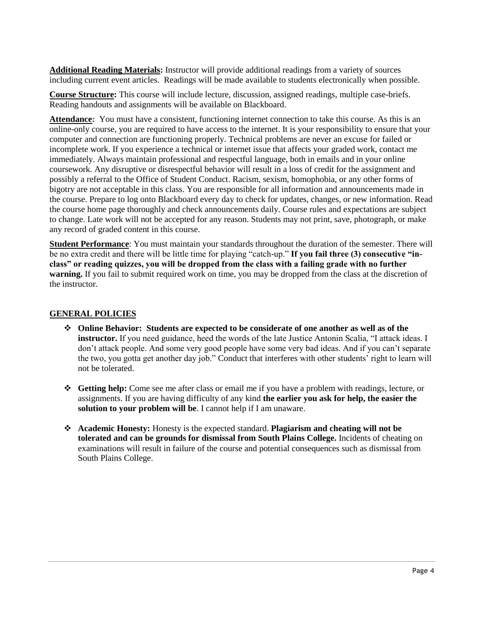**Additional Reading Materials:** Instructor will provide additional readings from a variety of sources including current event articles. Readings will be made available to students electronically when possible.

**Course Structure:** This course will include lecture, discussion, assigned readings, multiple case-briefs. Reading handouts and assignments will be available on Blackboard.

**Attendance:** You must have a consistent, functioning internet connection to take this course. As this is an online-only course, you are required to have access to the internet. It is your responsibility to ensure that your computer and connection are functioning properly. Technical problems are never an excuse for failed or incomplete work. If you experience a technical or internet issue that affects your graded work, contact me immediately. Always maintain professional and respectful language, both in emails and in your online coursework. Any disruptive or disrespectful behavior will result in a loss of credit for the assignment and possibly a referral to the Office of Student Conduct. Racism, sexism, homophobia, or any other forms of bigotry are not acceptable in this class. You are responsible for all information and announcements made in the course. Prepare to log onto Blackboard every day to check for updates, changes, or new information. Read the course home page thoroughly and check announcements daily. Course rules and expectations are subject to change. Late work will not be accepted for any reason. Students may not print, save, photograph, or make any record of graded content in this course.

**Student Performance**: You must maintain your standards throughout the duration of the semester. There will be no extra credit and there will be little time for playing "catch-up." **If you fail three (3) consecutive "inclass" or reading quizzes, you will be dropped from the class with a failing grade with no further warning.** If you fail to submit required work on time, you may be dropped from the class at the discretion of the instructor.

#### **GENERAL POLICIES**

- ❖ **Online Behavior: Students are expected to be considerate of one another as well as of the instructor.** If you need guidance, heed the words of the late Justice Antonin Scalia, "I attack ideas. I don't attack people. And some very good people have some very bad ideas. And if you can't separate the two, you gotta get another day job." Conduct that interferes with other students' right to learn will not be tolerated.
- ❖ **Getting help:** Come see me after class or email me if you have a problem with readings, lecture, or assignments. If you are having difficulty of any kind **the earlier you ask for help, the easier the solution to your problem will be**. I cannot help if I am unaware.
- ❖ **Academic Honesty:** Honesty is the expected standard. **Plagiarism and cheating will not be tolerated and can be grounds for dismissal from South Plains College.** Incidents of cheating on examinations will result in failure of the course and potential consequences such as dismissal from South Plains College.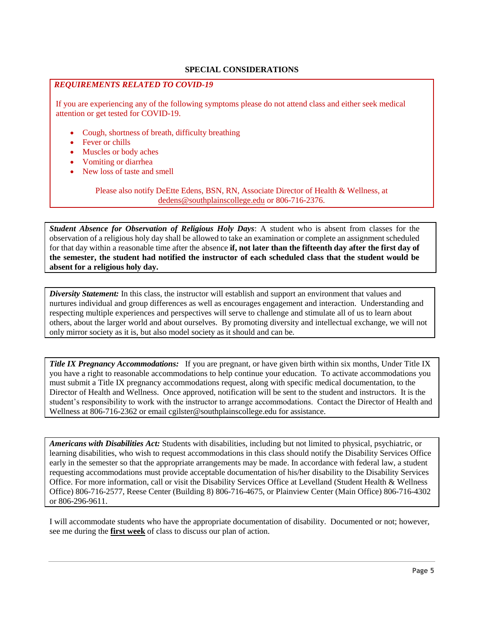#### **SPECIAL CONSIDERATIONS**

#### *REQUIREMENTS RELATED TO COVID-19*

If you are experiencing any of the following symptoms please do not attend class and either seek medical attention or get tested for COVID-19.

- Cough, shortness of breath, difficulty breathing
- **Fever or chills**
- Muscles or body aches
- Vomiting or diarrhea
- New loss of taste and smell

Please also notify DeEtte Edens, BSN, RN, Associate Director of Health & Wellness, at [dedens@southplainscollege.edu](mailto:dedens@southplainscollege.edu) or 806-716-2376.

*Student Absence for Observation of Religious Holy Days*: A student who is absent from classes for the observation of a religious holy day shall be allowed to take an examination or complete an assignment scheduled for that day within a reasonable time after the absence **if, not later than the fifteenth day after the first day of the semester, the student had notified the instructor of each scheduled class that the student would be absent for a religious holy day.**

*Diversity Statement:* In this class, the instructor will establish and support an environment that values and nurtures individual and group differences as well as encourages engagement and interaction. Understanding and respecting multiple experiences and perspectives will serve to challenge and stimulate all of us to learn about others, about the larger world and about ourselves. By promoting diversity and intellectual exchange, we will not only mirror society as it is, but also model society as it should and can be.

*Title IX Pregnancy Accommodations:* If you are pregnant, or have given birth within six months, Under Title IX you have a right to reasonable accommodations to help continue your education. To activate accommodations you must submit a Title IX pregnancy accommodations request, along with specific medical documentation, to the Director of Health and Wellness. Once approved, notification will be sent to the student and instructors. It is the student's responsibility to work with the instructor to arrange accommodations. Contact the Director of Health and Wellness at 806-716-2362 or email cgilster@southplainscollege.edu for assistance.

*Americans with Disabilities Act:* Students with disabilities, including but not limited to physical, psychiatric, or learning disabilities, who wish to request accommodations in this class should notify the Disability Services Office early in the semester so that the appropriate arrangements may be made. In accordance with federal law, a student requesting accommodations must provide acceptable documentation of his/her disability to the Disability Services Office. For more information, call or visit the Disability Services Office at Levelland (Student Health & Wellness Office) 806-716-2577, Reese Center (Building 8) 806-716-4675, or Plainview Center (Main Office) 806-716-4302 or 806-296-9611.

I will accommodate students who have the appropriate documentation of disability. Documented or not; however, see me during the **first week** of class to discuss our plan of action.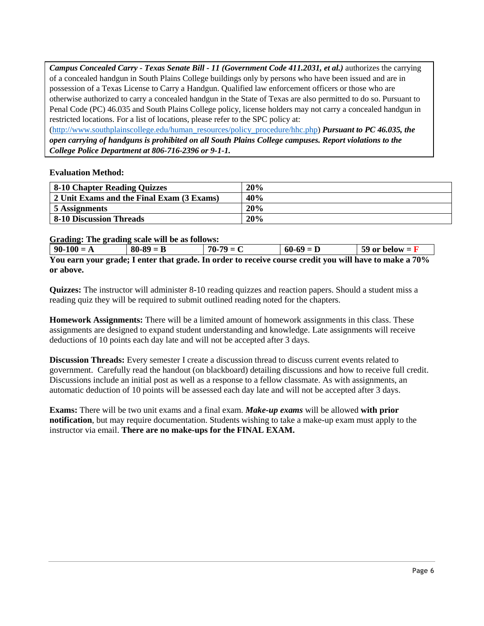*Campus Concealed Carry - Texas Senate Bill - 11 (Government Code 411.2031, et al.)* authorizes the carrying of a concealed handgun in South Plains College buildings only by persons who have been issued and are in possession of a Texas License to Carry a Handgun. Qualified law enforcement officers or those who are otherwise authorized to carry a concealed handgun in the State of Texas are also permitted to do so. Pursuant to Penal Code (PC) 46.035 and South Plains College policy, license holders may not carry a concealed handgun in restricted locations. For a list of locations, please refer to the SPC policy at:

[\(http://www.southplainscollege.edu/human\\_resources/policy\\_procedure/hhc.php\)](http://www.southplainscollege.edu/human_resources/policy_procedure/hhc.php) *Pursuant to PC 46.035, the open carrying of handguns is prohibited on all South Plains College campuses. Report violations to the College Police Department at 806-716-2396 or 9-1-1.*

#### **Evaluation Method:**

**or above.**

| <b>8-10 Chapter Reading Quizzes</b>       | 20% |
|-------------------------------------------|-----|
| 2 Unit Exams and the Final Exam (3 Exams) | 40% |
| 5 Assignments                             | 20% |
| <b>8-10 Discussion Threads</b>            | 20% |

#### **Grading: The grading scale will be as follows:**

| $90-100 = A$                                                                                           | $80-89 = B$ | $70-79 = C$ | $60-69 = D$ | 59 or below = $\bf{F}$ |  |
|--------------------------------------------------------------------------------------------------------|-------------|-------------|-------------|------------------------|--|
| You earn your grade; I enter that grade. In order to receive course credit you will have to make a 70% |             |             |             |                        |  |

**Quizzes:** The instructor will administer 8-10 reading quizzes and reaction papers. Should a student miss a reading quiz they will be required to submit outlined reading noted for the chapters.

**Homework Assignments:** There will be a limited amount of homework assignments in this class. These assignments are designed to expand student understanding and knowledge. Late assignments will receive deductions of 10 points each day late and will not be accepted after 3 days.

**Discussion Threads:** Every semester I create a discussion thread to discuss current events related to government. Carefully read the handout (on blackboard) detailing discussions and how to receive full credit. Discussions include an initial post as well as a response to a fellow classmate. As with assignments, an automatic deduction of 10 points will be assessed each day late and will not be accepted after 3 days.

**Exams:** There will be two unit exams and a final exam. *Make-up exams* will be allowed **with prior notification**, but may require documentation. Students wishing to take a make-up exam must apply to the instructor via email. **There are no make-ups for the FINAL EXAM.**